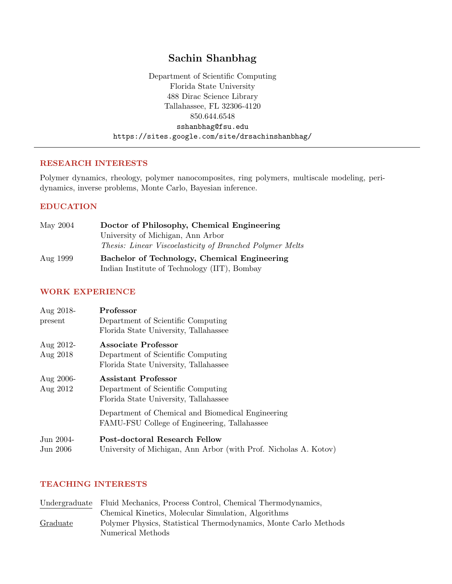# Sachin Shanbhag

Department of Scientific Computing Florida State University 488 Dirac Science Library Tallahassee, FL 32306-4120 850.644.6548 sshanbhag@fsu.edu https://sites.google.com/site/drsachinshanbhag/

# RESEARCH INTERESTS

Polymer dynamics, rheology, polymer nanocomposites, ring polymers, multiscale modeling, peridynamics, inverse problems, Monte Carlo, Bayesian inference.

# EDUCATION

| May 2004                   | Doctor of Philosophy, Chemical Engineering                      |  |  |
|----------------------------|-----------------------------------------------------------------|--|--|
|                            | University of Michigan, Ann Arbor                               |  |  |
|                            | <i>Thesis: Linear Viscoelasticity of Branched Polymer Melts</i> |  |  |
| $\Lambda_{12}$ $\sim$ 1000 | <b>Docholor of Technology, Chamical Fraincenips</b>             |  |  |

| Aug 1999 | Bachelor of Technology, Chemical Engineering |
|----------|----------------------------------------------|
|          | Indian Institute of Technology (IIT), Bombay |

# WORK EXPERIENCE

| Aug 2018-<br>present     | Professor<br>Department of Scientific Computing<br>Florida State University, Tallahassee           |
|--------------------------|----------------------------------------------------------------------------------------------------|
| Aug $2012$ -<br>Aug 2018 | Associate Professor<br>Department of Scientific Computing<br>Florida State University, Tallahassee |
| Aug $2006$ -<br>Aug 2012 | Assistant Professor<br>Department of Scientific Computing<br>Florida State University, Tallahassee |
|                          | Department of Chemical and Biomedical Engineering<br>FAMU-FSU College of Engineering, Tallahassee  |
| Jun 2004-<br>Jun 2006    | Post-doctoral Research Fellow<br>University of Michigan, Ann Arbor (with Prof. Nicholas A. Kotov)  |

## TEACHING INTERESTS

|          | Undergraduate Fluid Mechanics, Process Control, Chemical Thermodynamics, |
|----------|--------------------------------------------------------------------------|
|          | Chemical Kinetics, Molecular Simulation, Algorithms                      |
| Graduate | Polymer Physics, Statistical Thermodynamics, Monte Carlo Methods         |
|          | Numerical Methods                                                        |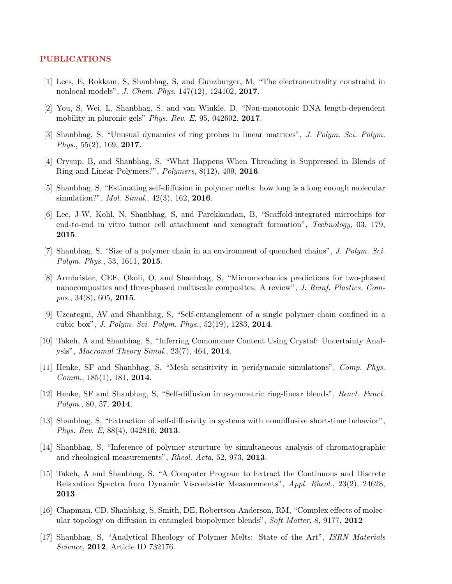#### PUBLICATIONS

- [1] Lees, E, Rokkam, S, Shanbhag, S, and Gunzburger, M, "The electroneutrality constraint in nonlocal models", J. Chem. Phys, 147(12), 124102, 2017.
- [2] You, S, Wei, L, Shanbhag, S, and van Winkle, D, "Non-monotonic DNA length-dependent mobility in pluronic gels" Phys. Rev. E, 95, 042602, 2017.
- [3] Shanbhag, S, "Unusual dynamics of ring probes in linear matrices", J. Polym. Sci. Polym. Phys.,  $55(2)$ ,  $169$ ,  $2017$ .
- [4] Crysup, B, and Shanbhag, S, "What Happens When Threading is Suppressed in Blends of Ring and Linear Polymers?", Polymers, 8(12), 409, 2016.
- [5] Shanbhag, S, "Estimating self-diffusion in polymer melts: how long is a long enough molecular simulation?", *Mol. Simul.*, 42(3), 162, **2016**.
- [6] Lee, J-W, Kohl, N, Shanbhag, S, and Parekkandan, B, "Scaffold-integrated microchips for end-to-end in vitro tumor cell attachment and xenograft formation", Technology, 03, 179, 2015.
- [7] Shanbhag, S, "Size of a polymer chain in an environment of quenched chains", J. Polym. Sci. Polym. Phys., 53, 1611, 2015.
- [8] Armbrister, CEE, Okoli, O, and Shanbhag, S, "Micromechanics predictions for two-phased nanocomposites and three-phased multiscale composites: A review", J. Reinf. Plastics. Com*pos.*, 34 $(8)$ , 605, **2015**.
- [9] Uzcategui, AV and Shanbhag, S, "Self-entanglement of a single polymer chain confined in a cubic box", J. Polym. Sci. Polym. Phys., 52(19), 1283, 2014.
- [10] Takeh, A and Shanbhag, S, "Inferring Comonomer Content Using Crystaf: Uncertainty Analysis", Macromol Theory Simul., 23(7), 464, 2014.
- [11] Henke, SF and Shanbhag, S, "Mesh sensitivity in peridynamic simulations", Comp. Phys. Comm., 185(1), 181, 2014.
- [12] Henke, SF and Shanbhag, S, "Self-diffusion in asymmetric ring-linear blends", React. Funct. Polym., 80, 57, 2014.
- [13] Shanbhag, S, "Extraction of self-diffusivity in systems with nondiffusive short-time behavior", Phys. Rev. E, 88(4), 042816, 2013.
- [14] Shanbhag, S, "Inference of polymer structure by simultaneous analysis of chromatographic and rheological measurements", Rheol. Acta, 52, 973, 2013.
- [15] Takeh, A and Shanbhag, S, "A Computer Program to Extract the Continuous and Discrete Relaxation Spectra from Dynamic Viscoelastic Measurements", Appl. Rheol., 23(2), 24628, 2013.
- [16] Chapman, CD, Shanbhag, S, Smith, DE, Robertson-Anderson, RM, "Complex effects of molecular topology on diffusion in entangled biopolymer blends", Soft Matter, 8, 9177, 2012
- [17] Shanbhag, S, "Analytical Rheology of Polymer Melts: State of the Art", ISRN Materials Science, 2012, Article ID 732176.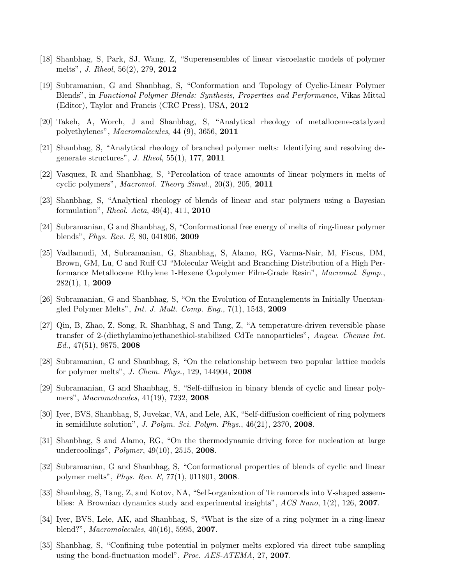- [18] Shanbhag, S, Park, SJ, Wang, Z, "Superensembles of linear viscoelastic models of polymer melts", J. Rheol, 56(2), 279, 2012
- [19] Subramanian, G and Shanbhag, S, "Conformation and Topology of Cyclic-Linear Polymer Blends", in Functional Polymer Blends: Synthesis, Properties and Performance, Vikas Mittal (Editor), Taylor and Francis (CRC Press), USA, 2012
- [20] Takeh, A, Worch, J and Shanbhag, S, "Analytical rheology of metallocene-catalyzed polyethylenes", Macromolecules, 44 (9), 3656, 2011
- [21] Shanbhag, S, "Analytical rheology of branched polymer melts: Identifying and resolving degenerate structures", J. Rheol, 55(1), 177, 2011
- [22] Vasquez, R and Shanbhag, S, "Percolation of trace amounts of linear polymers in melts of cyclic polymers", Macromol. Theory Simul., 20(3), 205, 2011
- [23] Shanbhag, S, "Analytical rheology of blends of linear and star polymers using a Bayesian formulation", Rheol. Acta, 49(4), 411, 2010
- [24] Subramanian, G and Shanbhag, S, "Conformational free energy of melts of ring-linear polymer blends", Phys. Rev. E, 80, 041806, 2009
- [25] Vadlamudi, M, Subramanian, G, Shanbhag, S, Alamo, RG, Varma-Nair, M, Fiscus, DM, Brown, GM, Lu, C and Ruff CJ "Molecular Weight and Branching Distribution of a High Performance Metallocene Ethylene 1-Hexene Copolymer Film-Grade Resin", Macromol. Symp., 282(1), 1, 2009
- [26] Subramanian, G and Shanbhag, S, "On the Evolution of Entanglements in Initially Unentangled Polymer Melts", Int. J. Mult. Comp. Eng., 7(1), 1543, 2009
- [27] Qin, B, Zhao, Z, Song, R, Shanbhag, S and Tang, Z, "A temperature-driven reversible phase transfer of 2-(diethylamino)ethanethiol-stabilized CdTe nanoparticles", Angew. Chemie Int. Ed., 47(51), 9875, 2008
- [28] Subramanian, G and Shanbhag, S, "On the relationship between two popular lattice models for polymer melts", J. Chem. Phys., 129, 144904, 2008
- [29] Subramanian, G and Shanbhag, S, "Self-diffusion in binary blends of cyclic and linear polymers", Macromolecules, 41(19), 7232, 2008
- [30] Iyer, BVS, Shanbhag, S, Juvekar, VA, and Lele, AK, "Self-diffusion coefficient of ring polymers in semidilute solution", J. Polym. Sci. Polym. Phys.,  $46(21)$ ,  $2370$ ,  $2008$ .
- [31] Shanbhag, S and Alamo, RG, "On the thermodynamic driving force for nucleation at large undercoolings", Polymer, 49(10), 2515, 2008.
- [32] Subramanian, G and Shanbhag, S, "Conformational properties of blends of cyclic and linear polymer melts", Phys. Rev. E, 77(1), 011801, 2008.
- [33] Shanbhag, S, Tang, Z, and Kotov, NA, "Self-organization of Te nanorods into V-shaped assemblies: A Brownian dynamics study and experimental insights", ACS Nano, 1(2), 126, 2007.
- [34] Iyer, BVS, Lele, AK, and Shanbhag, S, "What is the size of a ring polymer in a ring-linear blend?", Macromolecules, 40(16), 5995, 2007.
- [35] Shanbhag, S, "Confining tube potential in polymer melts explored via direct tube sampling using the bond-fluctuation model", Proc. AES-ATEMA, 27, 2007.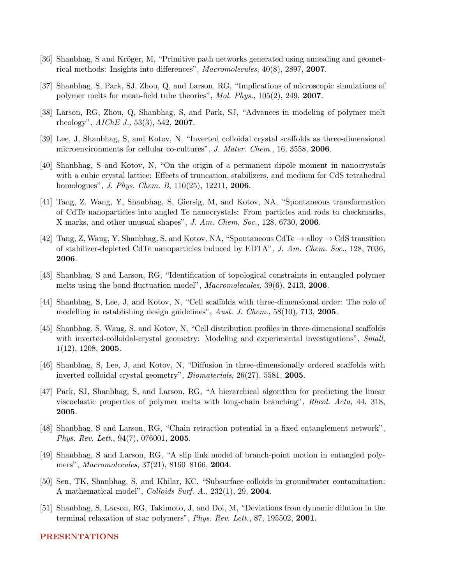- [36] Shanbhag, S and Kröger, M, "Primitive path networks generated using annealing and geometrical methods: Insights into differences", Macromolecules, 40(8), 2897, 2007.
- [37] Shanbhag, S, Park, SJ, Zhou, Q, and Larson, RG, "Implications of microscopic simulations of polymer melts for mean-field tube theories", Mol. Phys., 105(2), 249, 2007.
- [38] Larson, RG, Zhou, Q, Shanbhag, S, and Park, SJ, "Advances in modeling of polymer melt rheology",  $AIChE\,J., 53(3), 542, 2007.$
- [39] Lee, J, Shanbhag, S, and Kotov, N, "Inverted colloidal crystal scaffolds as three-dimensional microenvironments for cellular co-cultures", J. Mater. Chem., 16, 3558, 2006.
- [40] Shanbhag, S and Kotov, N, "On the origin of a permanent dipole moment in nanocrystals with a cubic crystal lattice: Effects of truncation, stabilizers, and medium for CdS tetrahedral homologues", *J. Phys. Chem. B*, 110(25), 12211, **2006**.
- [41] Tang, Z, Wang, Y, Shanbhag, S, Giersig, M, and Kotov, NA, "Spontaneous transformation of CdTe nanoparticles into angled Te nanocrystals: From particles and rods to checkmarks, X-marks, and other unusual shapes", J. Am. Chem. Soc., 128, 6730, 2006.
- [42] Tang, Z, Wang, Y, Shanbhag, S, and Kotov, NA, "Spontaneous CdTe  $\rightarrow$  alloy  $\rightarrow$  CdS transition of stabilizer-depleted CdTe nanoparticles induced by EDTA", J. Am. Chem. Soc., 128, 7036, 2006.
- [43] Shanbhag, S and Larson, RG, "Identification of topological constraints in entangled polymer melts using the bond-fluctuation model", *Macromolecules*, 39(6), 2413, **2006**.
- [44] Shanbhag, S, Lee, J, and Kotov, N, "Cell scaffolds with three-dimensional order: The role of modelling in establishing design guidelines", Aust. J. Chem., 58(10), 713, 2005.
- [45] Shanbhag, S, Wang, S, and Kotov, N, "Cell distribution profiles in three-dimensional scaffolds with inverted-colloidal-crystal geometry: Modeling and experimental investigations", Small, 1(12), 1208, 2005.
- [46] Shanbhag, S, Lee, J, and Kotov, N, "Diffusion in three-dimensionally ordered scaffolds with inverted colloidal crystal geometry", Biomaterials, 26(27), 5581, 2005.
- [47] Park, SJ, Shanbhag, S, and Larson, RG, "A hierarchical algorithm for predicting the linear viscoelastic properties of polymer melts with long-chain branching", Rheol. Acta, 44, 318, 2005.
- [48] Shanbhag, S and Larson, RG, "Chain retraction potential in a fixed entanglement network", Phys. Rev. Lett., 94(7), 076001, 2005.
- [49] Shanbhag, S and Larson, RG, "A slip link model of branch-point motion in entangled polymers", Macromolecules, 37(21), 8160–8166, 2004.
- [50] Sen, TK, Shanbhag, S, and Khilar, KC, "Subsurface colloids in groundwater contamination: A mathematical model", Colloids Surf. A., 232(1), 29, 2004.
- [51] Shanbhag, S, Larson, RG, Takimoto, J, and Doi, M, "Deviations from dynamic dilution in the terminal relaxation of star polymers", Phys. Rev. Lett., 87, 195502, 2001.

#### PRESENTATIONS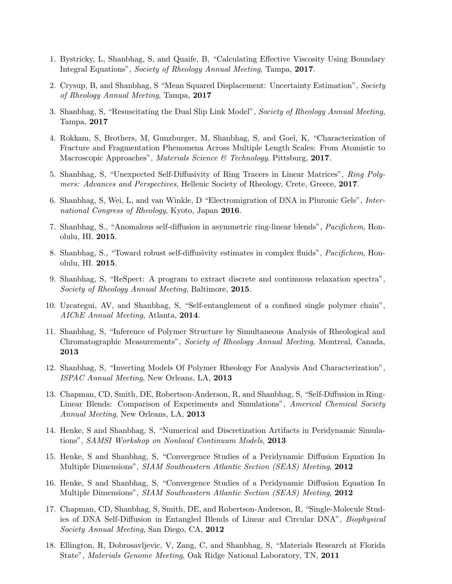- 1. Bystricky, L, Shanbhag, S, and Quaife, B, "Calculating Effective Viscosity Using Boundary Integral Equations", Society of Rheology Annual Meeting, Tampa, 2017.
- 2. Crysup, B, and Shanbhag, S "Mean Squared Displacement: Uncertainty Estimation", Society of Rheology Annual Meeting, Tampa, 2017
- 3. Shanbhag, S, "Resuscitating the Dual Slip Link Model", Society of Rheology Annual Meeting, Tampa, 2017
- 4. Rokkam, S, Brothers, M, Gunzburger, M, Shanbhag, S, and Goel, K, "Characterization of Fracture and Fragmentation Phenomena Across Multiple Length Scales: From Atomistic to Macroscopic Approaches", Materials Science & Technology, Pittsburg, 2017.
- 5. Shanbhag, S, "Unexpected Self-Diffusivity of Ring Tracers in Linear Matrices", Ring Polymers: Advances and Perspectives, Hellenic Society of Rheology, Crete, Greece, 2017.
- 6. Shanbhag, S, Wei, L, and van Winkle, D "Electromigration of DNA in Pluronic Gels", International Congress of Rheology, Kyoto, Japan 2016.
- 7. Shanbhag, S., "Anomalous self-diffusion in asymmetric ring-linear blends", Pacifichem, Honolulu, HI. 2015.
- 8. Shanbhag, S., "Toward robust self-diffusivity estimates in complex fluids", Pacifichem, Honolulu, HI. 2015.
- 9. Shanbhag, S, "ReSpect: A program to extract discrete and continuous relaxation spectra", Society of Rheology Annual Meeting, Baltimore, 2015.
- 10. Uzcategui, AV, and Shanbhag, S, "Self-entanglement of a confined single polymer chain", AIChE Annual Meeting, Atlanta, 2014.
- 11. Shanbhag, S, "Inference of Polymer Structure by Simultaneous Analysis of Rheological and Chromatographic Measurements", Society of Rheology Annual Meeting, Montreal, Canada, 2013
- 12. Shanbhag, S, "Inverting Models Of Polymer Rheology For Analysis And Characterization", ISPAC Annual Meeting, New Orleans, LA, 2013
- 13. Chapman, CD, Smith, DE, Robertson-Anderson, R, and Shanbhag, S, "Self-Diffusion in Ring-Linear Blends: Comparison of Experiments and Simulations", Americal Chemical Society Annual Meeting, New Orleans, LA, 2013
- 14. Henke, S and Shanbhag, S, "Numerical and Discretization Artifacts in Peridynamic Simulations", SAMSI Workshop on Nonlocal Continuum Models, 2013
- 15. Henke, S and Shanbhag, S, "Convergence Studies of a Peridynamic Diffusion Equation In Multiple Dimensions", SIAM Southeastern Atlantic Section (SEAS) Meeting, 2012
- 16. Henke, S and Shanbhag, S, "Convergence Studies of a Peridynamic Diffusion Equation In Multiple Dimensions", SIAM Southeastern Atlantic Section (SEAS) Meeting, 2012
- 17. Chapman, CD, Shanbhag, S, Smith, DE, and Robertson-Anderson, R, "Single-Molecule Studies of DNA Self-Diffusion in Entangled Blends of Linear and Circular DNA", Biophysical Society Annual Meeting, San Diego, CA, 2012
- 18. Ellington, R, Dobrosavljevic, V, Zang, C, and Shanbhag, S, "Materials Research at Florida State", Materials Genome Meeting, Oak Ridge National Laboratory, TN, 2011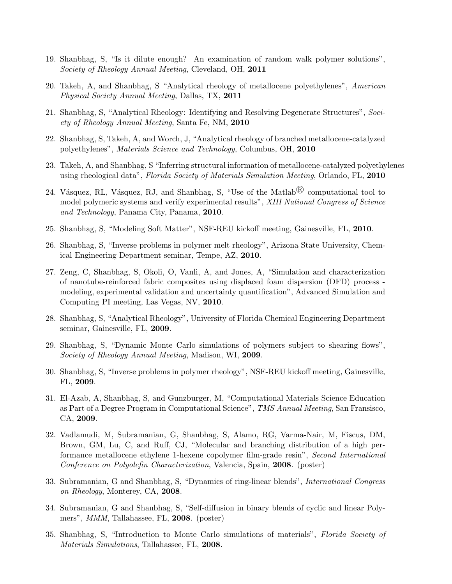- 19. Shanbhag, S, "Is it dilute enough? An examination of random walk polymer solutions", Society of Rheology Annual Meeting, Cleveland, OH, 2011
- 20. Takeh, A, and Shanbhag, S "Analytical rheology of metallocene polyethylenes", American Physical Society Annual Meeting, Dallas, TX, 2011
- 21. Shanbhag, S, "Analytical Rheology: Identifying and Resolving Degenerate Structures", Society of Rheology Annual Meeting, Santa Fe, NM, 2010
- 22. Shanbhag, S, Takeh, A, and Worch, J, "Analytical rheology of branched metallocene-catalyzed polyethylenes", Materials Science and Technology, Columbus, OH, 2010
- 23. Takeh, A, and Shanbhag, S "Inferring structural information of metallocene-catalyzed polyethylenes using rheological data", Florida Society of Materials Simulation Meeting, Orlando, FL, 2010
- 24. Vásquez, RL, Vásquez, RJ, and Shanbhag, S, "Use of the Matlab<sup>®</sup> computational tool to model polymeric systems and verify experimental results", XIII National Congress of Science and Technology, Panama City, Panama, 2010.
- 25. Shanbhag, S, "Modeling Soft Matter", NSF-REU kickoff meeting, Gainesville, FL, 2010.
- 26. Shanbhag, S, "Inverse problems in polymer melt rheology", Arizona State University, Chemical Engineering Department seminar, Tempe, AZ, 2010.
- 27. Zeng, C, Shanbhag, S, Okoli, O, Vanli, A, and Jones, A, "Simulation and characterization of nanotube-reinforced fabric composites using displaced foam dispersion (DFD) process modeling, experimental validation and uncertainty quantification", Advanced Simulation and Computing PI meeting, Las Vegas, NV, 2010.
- 28. Shanbhag, S, "Analytical Rheology", University of Florida Chemical Engineering Department seminar, Gainesville, FL, 2009.
- 29. Shanbhag, S, "Dynamic Monte Carlo simulations of polymers subject to shearing flows", Society of Rheology Annual Meeting, Madison, WI, 2009.
- 30. Shanbhag, S, "Inverse problems in polymer rheology", NSF-REU kickoff meeting, Gainesville, FL, 2009.
- 31. El-Azab, A, Shanbhag, S, and Gunzburger, M, "Computational Materials Science Education as Part of a Degree Program in Computational Science", TMS Annual Meeting, San Fransisco, CA, 2009.
- 32. Vadlamudi, M, Subramanian, G, Shanbhag, S, Alamo, RG, Varma-Nair, M, Fiscus, DM, Brown, GM, Lu, C, and Ruff, CJ, "Molecular and branching distribution of a high performance metallocene ethylene 1-hexene copolymer film-grade resin", Second International Conference on Polyolefin Characterization, Valencia, Spain, 2008. (poster)
- 33. Subramanian, G and Shanbhag, S, "Dynamics of ring-linear blends", International Congress on Rheology, Monterey, CA, 2008.
- 34. Subramanian, G and Shanbhag, S, "Self-diffusion in binary blends of cyclic and linear Polymers", *MMM*, Tallahassee, FL, 2008. (poster)
- 35. Shanbhag, S, "Introduction to Monte Carlo simulations of materials", Florida Society of Materials Simulations, Tallahassee, FL, 2008.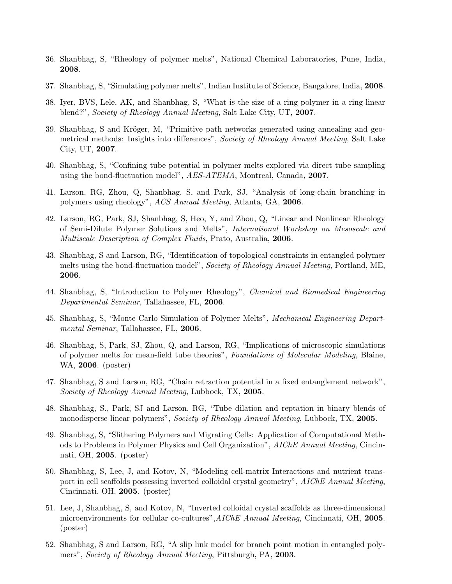- 36. Shanbhag, S, "Rheology of polymer melts", National Chemical Laboratories, Pune, India, 2008.
- 37. Shanbhag, S, "Simulating polymer melts", Indian Institute of Science, Bangalore, India, 2008.
- 38. Iyer, BVS, Lele, AK, and Shanbhag, S, "What is the size of a ring polymer in a ring-linear blend?", Society of Rheology Annual Meeting, Salt Lake City, UT, 2007.
- 39. Shanbhag, S and Kröger, M, "Primitive path networks generated using annealing and geometrical methods: Insights into differences", Society of Rheology Annual Meeting, Salt Lake City, UT, 2007.
- 40. Shanbhag, S, "Confining tube potential in polymer melts explored via direct tube sampling using the bond-fluctuation model", AES-ATEMA, Montreal, Canada, 2007.
- 41. Larson, RG, Zhou, Q, Shanbhag, S, and Park, SJ, "Analysis of long-chain branching in polymers using rheology", ACS Annual Meeting, Atlanta, GA, 2006.
- 42. Larson, RG, Park, SJ, Shanbhag, S, Heo, Y, and Zhou, Q, "Linear and Nonlinear Rheology of Semi-Dilute Polymer Solutions and Melts", International Workshop on Mesoscale and Multiscale Description of Complex Fluids, Prato, Australia, 2006.
- 43. Shanbhag, S and Larson, RG, "Identification of topological constraints in entangled polymer melts using the bond-fluctuation model", Society of Rheology Annual Meeting, Portland, ME, 2006.
- 44. Shanbhag, S, "Introduction to Polymer Rheology", Chemical and Biomedical Engineering Departmental Seminar, Tallahassee, FL, 2006.
- 45. Shanbhag, S, "Monte Carlo Simulation of Polymer Melts", Mechanical Engineering Departmental Seminar, Tallahassee, FL, 2006.
- 46. Shanbhag, S, Park, SJ, Zhou, Q, and Larson, RG, "Implications of microscopic simulations of polymer melts for mean-field tube theories", Foundations of Molecular Modeling, Blaine, WA, 2006. (poster)
- 47. Shanbhag, S and Larson, RG, "Chain retraction potential in a fixed entanglement network", Society of Rheology Annual Meeting, Lubbock, TX, 2005.
- 48. Shanbhag, S., Park, SJ and Larson, RG, "Tube dilation and reptation in binary blends of monodisperse linear polymers", Society of Rheology Annual Meeting, Lubbock, TX, 2005.
- 49. Shanbhag, S, "Slithering Polymers and Migrating Cells: Application of Computational Methods to Problems in Polymer Physics and Cell Organization", AIChE Annual Meeting, Cincinnati, OH, 2005. (poster)
- 50. Shanbhag, S, Lee, J, and Kotov, N, "Modeling cell-matrix Interactions and nutrient transport in cell scaffolds possessing inverted colloidal crystal geometry", AIChE Annual Meeting, Cincinnati, OH, 2005. (poster)
- 51. Lee, J, Shanbhag, S, and Kotov, N, "Inverted colloidal crystal scaffolds as three-dimensional microenvironments for cellular co-cultures", AIChE Annual Meeting, Cincinnati, OH, 2005. (poster)
- 52. Shanbhag, S and Larson, RG, "A slip link model for branch point motion in entangled polymers", Society of Rheology Annual Meeting, Pittsburgh, PA, 2003.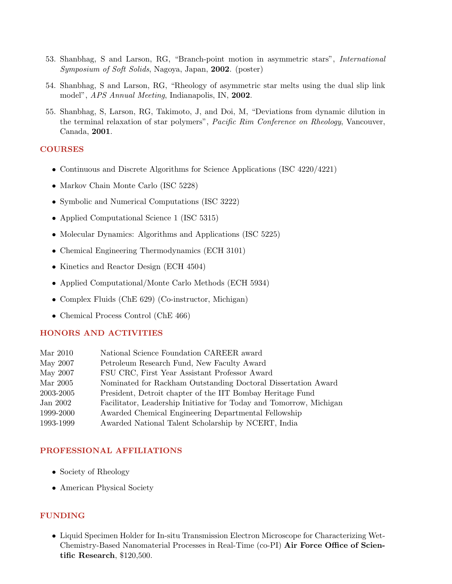- 53. Shanbhag, S and Larson, RG, "Branch-point motion in asymmetric stars", International Symposium of Soft Solids, Nagoya, Japan, 2002. (poster)
- 54. Shanbhag, S and Larson, RG, "Rheology of asymmetric star melts using the dual slip link model", APS Annual Meeting, Indianapolis, IN, 2002.
- 55. Shanbhag, S, Larson, RG, Takimoto, J, and Doi, M, "Deviations from dynamic dilution in the terminal relaxation of star polymers", Pacific Rim Conference on Rheology, Vancouver, Canada, 2001.

### COURSES

- Continuous and Discrete Algorithms for Science Applications (ISC 4220/4221)
- Markov Chain Monte Carlo (ISC 5228)
- Symbolic and Numerical Computations (ISC 3222)
- Applied Computational Science 1 (ISC 5315)
- Molecular Dynamics: Algorithms and Applications (ISC 5225)
- Chemical Engineering Thermodynamics (ECH 3101)
- Kinetics and Reactor Design (ECH 4504)
- Applied Computational/Monte Carlo Methods (ECH 5934)
- Complex Fluids (ChE 629) (Co-instructor, Michigan)
- Chemical Process Control (ChE 466)

### HONORS AND ACTIVITIES

| Mar 2010  | National Science Foundation CAREER award                            |
|-----------|---------------------------------------------------------------------|
| May 2007  | Petroleum Research Fund, New Faculty Award                          |
| May 2007  | FSU CRC, First Year Assistant Professor Award                       |
| Mar 2005  | Nominated for Rackham Outstanding Doctoral Dissertation Award       |
| 2003-2005 | President, Detroit chapter of the IIT Bombay Heritage Fund          |
| Jan 2002  | Facilitator, Leadership Initiative for Today and Tomorrow, Michigan |
| 1999-2000 | Awarded Chemical Engineering Departmental Fellowship                |
| 1993-1999 | Awarded National Talent Scholarship by NCERT, India                 |
|           |                                                                     |

## PROFESSIONAL AFFILIATIONS

- Society of Rheology
- American Physical Society

## FUNDING

• Liquid Specimen Holder for In-situ Transmission Electron Microscope for Characterizing Wet-Chemistry-Based Nanomaterial Processes in Real-Time (co-PI) Air Force Office of Scientific Research, \$120,500.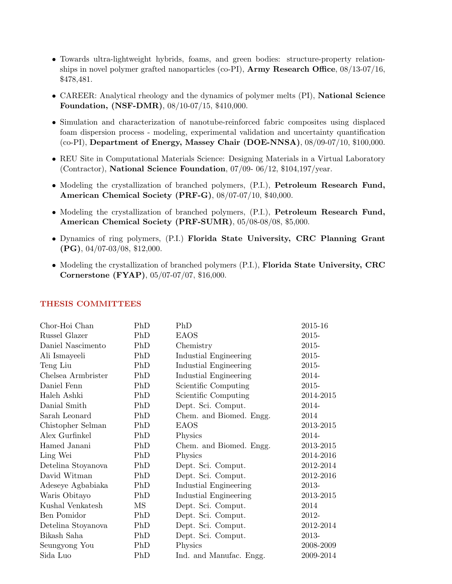- Towards ultra-lightweight hybrids, foams, and green bodies: structure-property relationships in novel polymer grafted nanoparticles (co-PI), **Army Research Office**,  $08/13-07/16$ , \$478,481.
- CAREER: Analytical rheology and the dynamics of polymer melts (PI), National Science Foundation, (NSF-DMR), 08/10-07/15, \$410,000.
- Simulation and characterization of nanotube-reinforced fabric composites using displaced foam dispersion process - modeling, experimental validation and uncertainty quantification (co-PI), Department of Energy, Massey Chair (DOE-NNSA), 08/09-07/10, \$100,000.
- REU Site in Computational Materials Science: Designing Materials in a Virtual Laboratory (Contractor), National Science Foundation, 07/09- 06/12, \$104,197/year.
- Modeling the crystallization of branched polymers, (P.I.), Petroleum Research Fund, American Chemical Society (PRF-G), 08/07-07/10, \$40,000.
- Modeling the crystallization of branched polymers,  $(P.I.)$ , Petroleum Research Fund, American Chemical Society (PRF-SUMR), 05/08-08/08, \$5,000.
- Dynamics of ring polymers, (P.I.) Florida State University, CRC Planning Grant (PG), 04/07-03/08, \$12,000.
- Modeling the crystallization of branched polymers (P.I.), Florida State University, CRC Cornerstone (FYAP), 05/07-07/07, \$16,000.

| Chor-Hoi Chan      | PhD | PhD                     | 2015-16   |
|--------------------|-----|-------------------------|-----------|
| Russel Glazer      | PhD | <b>EAOS</b>             | 2015-     |
| Daniel Nascimento  | PhD | Chemistry               | 2015-     |
| Ali Ismayeeli      | PhD | Industial Engineering   | 2015-     |
| Teng Liu           | PhD | Industial Engineering   | 2015-     |
| Chelsea Armbrister | PhD | Industial Engineering   | 2014-     |
| Daniel Fenn        | PhD | Scientific Computing    | 2015-     |
| Haleh Ashki        | PhD | Scientific Computing    | 2014-2015 |
| Danial Smith       | PhD | Dept. Sci. Comput.      | 2014-     |
| Sarah Leonard      | PhD | Chem. and Biomed. Engg. | 2014      |
| Chistopher Selman  | PhD | <b>EAOS</b>             | 2013-2015 |
| Alex Gurfinkel     | PhD | Physics                 | 2014-     |
| Hamed Janani       | PhD | Chem. and Biomed. Engg. | 2013-2015 |
| Ling Wei           | PhD | Physics                 | 2014-2016 |
| Detelina Stoyanova | PhD | Dept. Sci. Comput.      | 2012-2014 |
| David Witman       | PhD | Dept. Sci. Comput.      | 2012-2016 |
| Adeseye Agbabiaka  | PhD | Industial Engineering   | 2013-     |
| Waris Obitayo      | PhD | Industial Engineering   | 2013-2015 |
| Kushal Venkatesh   | MS  | Dept. Sci. Comput.      | 2014      |
| Ben Pomidor        | PhD | Dept. Sci. Comput.      | 2012-     |
| Detelina Stoyanova | PhD | Dept. Sci. Comput.      | 2012-2014 |
| Bikash Saha        | PhD | Dept. Sci. Comput.      | 2013-     |
| Seungyong You      | PhD | Physics                 | 2008-2009 |
| Sida Luo           | PhD | Ind. and Manufac. Engg. | 2009-2014 |

#### THESIS COMMITTEES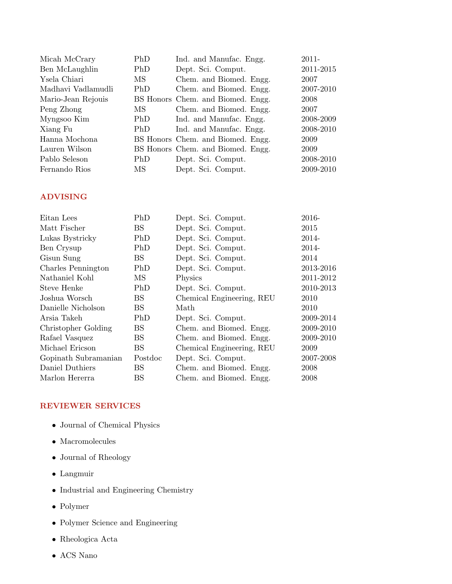| Micah McCrary      | PhD                   | Ind. and Manufac. Engg.           | 2011-     |
|--------------------|-----------------------|-----------------------------------|-----------|
| Ben McLaughlin     | PhD                   | Dept. Sci. Comput.                | 2011-2015 |
| Ysela Chiari       | MS                    | Chem. and Biomed. Engg.           | 2007      |
| Madhavi Vadlamudli | <b>PhD</b>            | Chem. and Biomed. Engg.           | 2007-2010 |
| Mario-Jean Rejouis |                       | BS Honors Chem. and Biomed. Engg. | 2008      |
| Peng Zhong         | $\overline{\rm MS}^-$ | Chem. and Biomed. Engg.           | 2007      |
| Myngsoo Kim        | PhD                   | Ind. and Manufac. Engg.           | 2008-2009 |
| Xiang Fu           | PhD.                  | Ind. and Manufac. Engg.           | 2008-2010 |
| Hanna Mochona      |                       | BS Honors Chem. and Biomed. Engg. | 2009      |
| Lauren Wilson      |                       | BS Honors Chem. and Biomed. Engg. | 2009      |
| Pablo Seleson      | PhD                   | Dept. Sci. Comput.                | 2008-2010 |
| Fernando Rios      | MS                    | Dept. Sci. Comput.                | 2009-2010 |

# ADVISING

| Eitan Lees           | PhD       | Dept. Sci. Comput.        | 2016-     |
|----------------------|-----------|---------------------------|-----------|
| Matt Fischer         | <b>BS</b> | Dept. Sci. Comput.        | 2015      |
| Lukas Bystricky      | PhD       | Dept. Sci. Comput.        | 2014-     |
| Ben Crysup           | PhD       | Dept. Sci. Comput.        | 2014-     |
| Gisun Sung           | BS        | Dept. Sci. Comput.        | 2014      |
| Charles Pennington   | PhD       | Dept. Sci. Comput.        | 2013-2016 |
| Nathaniel Kohl       | MS        | Physics                   | 2011-2012 |
| Steve Henke          | PhD       | Dept. Sci. Comput.        | 2010-2013 |
| Joshua Worsch        | <b>BS</b> | Chemical Engineering, REU | 2010      |
| Danielle Nicholson   | <b>BS</b> | Math                      | 2010      |
| Arsia Takeh          | PhD       | Dept. Sci. Comput.        | 2009-2014 |
| Christopher Golding  | <b>BS</b> | Chem. and Biomed. Engg.   | 2009-2010 |
| Rafael Vasquez       | <b>BS</b> | Chem. and Biomed. Engg.   | 2009-2010 |
| Michael Ericson      | <b>BS</b> | Chemical Engineering, REU | 2009      |
| Gopinath Subramanian | Postdoc   | Dept. Sci. Comput.        | 2007-2008 |
| Daniel Duthiers      | BS.       | Chem. and Biomed. Engg.   | 2008      |
| Marlon Hererra       | <b>BS</b> | Chem. and Biomed. Engg.   | 2008      |

# REVIEWER SERVICES

- $\bullet\,$  Journal of Chemical Physics
- $\bullet\,$  Macromolecules
- Journal of Rheology
- $\bullet$  Langmuir
- Industrial and Engineering Chemistry
- Polymer
- Polymer Science and Engineering
- Rheologica Acta
- ACS Nano